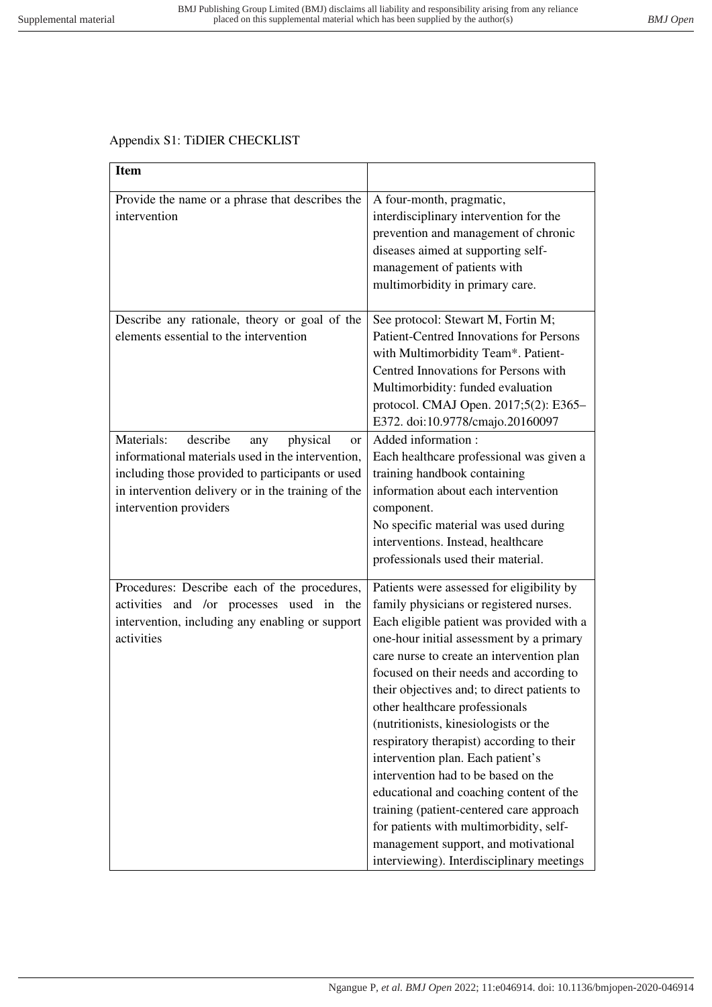## Appendix S1: TiDIER CHECKLIST

| <b>Item</b>                                                                                                                                                                                                                                         |                                                                                                                                                                                                                                                                                                                                                                                                                                                                                                                                                                                                                                                                                                                                                 |
|-----------------------------------------------------------------------------------------------------------------------------------------------------------------------------------------------------------------------------------------------------|-------------------------------------------------------------------------------------------------------------------------------------------------------------------------------------------------------------------------------------------------------------------------------------------------------------------------------------------------------------------------------------------------------------------------------------------------------------------------------------------------------------------------------------------------------------------------------------------------------------------------------------------------------------------------------------------------------------------------------------------------|
| Provide the name or a phrase that describes the<br>intervention                                                                                                                                                                                     | A four-month, pragmatic,<br>interdisciplinary intervention for the<br>prevention and management of chronic<br>diseases aimed at supporting self-<br>management of patients with<br>multimorbidity in primary care.                                                                                                                                                                                                                                                                                                                                                                                                                                                                                                                              |
| Describe any rationale, theory or goal of the<br>elements essential to the intervention                                                                                                                                                             | See protocol: Stewart M, Fortin M;<br><b>Patient-Centred Innovations for Persons</b><br>with Multimorbidity Team*. Patient-<br>Centred Innovations for Persons with<br>Multimorbidity: funded evaluation<br>protocol. CMAJ Open. 2017;5(2): E365-<br>E372. doi:10.9778/cmajo.20160097                                                                                                                                                                                                                                                                                                                                                                                                                                                           |
| Materials:<br>describe<br>physical<br>any<br><sub>or</sub><br>informational materials used in the intervention,<br>including those provided to participants or used<br>in intervention delivery or in the training of the<br>intervention providers | Added information:<br>Each healthcare professional was given a<br>training handbook containing<br>information about each intervention<br>component.<br>No specific material was used during<br>interventions. Instead, healthcare<br>professionals used their material.                                                                                                                                                                                                                                                                                                                                                                                                                                                                         |
| Procedures: Describe each of the procedures,<br>activities and /or processes used in the<br>intervention, including any enabling or support<br>activities                                                                                           | Patients were assessed for eligibility by<br>family physicians or registered nurses.<br>Each eligible patient was provided with a<br>one-hour initial assessment by a primary<br>care nurse to create an intervention plan<br>focused on their needs and according to<br>their objectives and; to direct patients to<br>other healthcare professionals<br>(nutritionists, kinesiologists or the<br>respiratory therapist) according to their<br>intervention plan. Each patient's<br>intervention had to be based on the<br>educational and coaching content of the<br>training (patient-centered care approach<br>for patients with multimorbidity, self-<br>management support, and motivational<br>interviewing). Interdisciplinary meetings |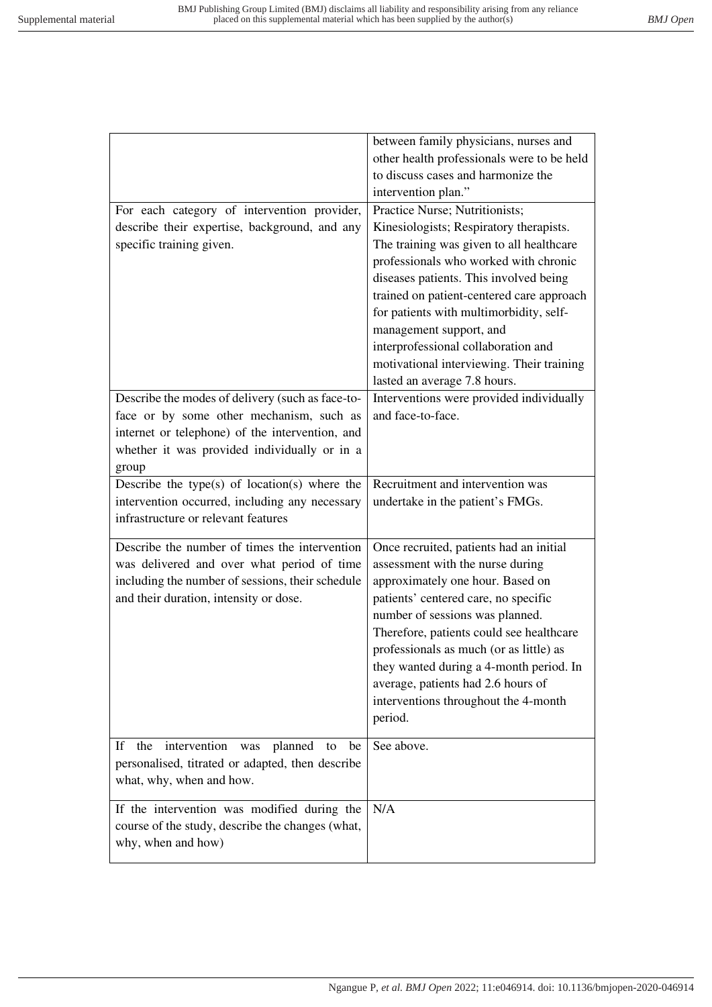|                                                      | between family physicians, nurses and      |
|------------------------------------------------------|--------------------------------------------|
|                                                      | other health professionals were to be held |
|                                                      | to discuss cases and harmonize the         |
|                                                      | intervention plan."                        |
| For each category of intervention provider,          | Practice Nurse; Nutritionists;             |
| describe their expertise, background, and any        | Kinesiologists; Respiratory therapists.    |
| specific training given.                             | The training was given to all healthcare   |
|                                                      | professionals who worked with chronic      |
|                                                      | diseases patients. This involved being     |
|                                                      | trained on patient-centered care approach  |
|                                                      | for patients with multimorbidity, self-    |
|                                                      | management support, and                    |
|                                                      | interprofessional collaboration and        |
|                                                      | motivational interviewing. Their training  |
|                                                      | lasted an average 7.8 hours.               |
| Describe the modes of delivery (such as face-to-     | Interventions were provided individually   |
| face or by some other mechanism, such as             | and face-to-face.                          |
| internet or telephone) of the intervention, and      |                                            |
| whether it was provided individually or in a         |                                            |
| group                                                |                                            |
| Describe the type(s) of location(s) where the        | Recruitment and intervention was           |
| intervention occurred, including any necessary       | undertake in the patient's FMGs.           |
| infrastructure or relevant features                  |                                            |
|                                                      |                                            |
| Describe the number of times the intervention        | Once recruited, patients had an initial    |
| was delivered and over what period of time           | assessment with the nurse during           |
| including the number of sessions, their schedule     | approximately one hour. Based on           |
| and their duration, intensity or dose.               | patients' centered care, no specific       |
|                                                      | number of sessions was planned.            |
|                                                      | Therefore, patients could see healthcare   |
|                                                      | professionals as much (or as little) as    |
|                                                      | they wanted during a 4-month period. In    |
|                                                      | average, patients had 2.6 hours of         |
|                                                      | interventions throughout the 4-month       |
|                                                      | period.                                    |
| intervention<br>the<br>planned to<br>If<br>was<br>be | See above.                                 |
| personalised, titrated or adapted, then describe     |                                            |
| what, why, when and how.                             |                                            |
|                                                      |                                            |
| If the intervention was modified during the          | N/A                                        |
| course of the study, describe the changes (what,     |                                            |
| why, when and how)                                   |                                            |
|                                                      |                                            |